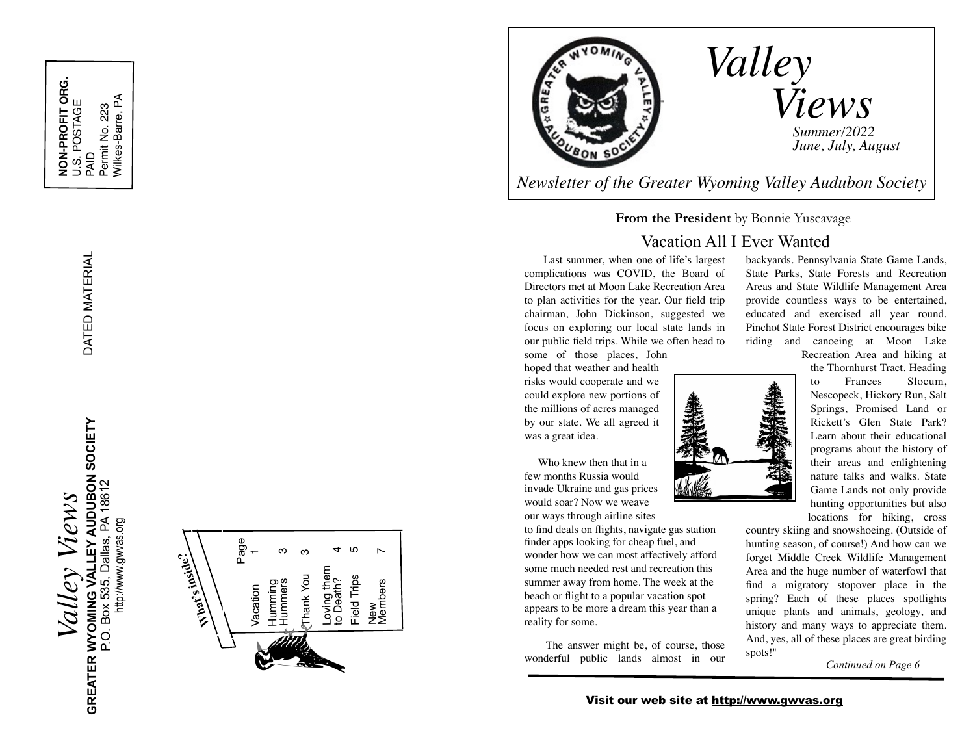DATED MATERIAL

DATED MATERIAL

!!!

I

*Valley Views* **GREATER WYOMING VALLEY AUDUBON SOCIETY**  GREATER WYOMING VALLEY AUDUBON SOCIETY<br>P.O. Box 535, Dallas, PA 18612<br>http://www.gwvas.org P.O. Box 535, Dallas, PA 18612 Views Valley

<http://www.gwvas.org>

 Page **What's inside?** Members 7 Vacation 1 Humming<br>Hummers 3 Field Trips 5  $\triangleright$ Thank You 3 Loving them<br>to Death?<br>Field Trips Thank You New<br>Members Vacation



*Newsletter of the Greater Wyoming Valley Audubon Society*

#### **From the President** by Bonnie Yuscavage

### Vacation All I Ever Wanted

 Last summer, when one of life's largest complications was COVID, the Board of Directors met at Moon Lake Recreation Area to plan activities for the year. Our field trip chairman, John Dickinson, suggested we focus on exploring our local state lands in our public field trips. While we often head to

some of those places, John hoped that weather and health risks would cooperate and we could explore new portions of the millions of acres managed by our state. We all agreed it was a great idea.

 Who knew then that in a few months Russia would invade Ukraine and gas prices would soar? Now we weave

our ways through airline sites to find deals on flights, navigate gas station finder apps looking for cheap fuel, and wonder how we can most affectively afford some much needed rest and recreation this summer away from home. The week at the beach or flight to a popular vacation spot appears to be more a dream this year than a reality for some.

 The answer might be, of course, those wonderful public lands almost in our

backyards. Pennsylvania State Game Lands, State Parks, State Forests and Recreation Areas and State Wildlife Management Area provide countless ways to be entertained, educated and exercised all year round. Pinchot State Forest District encourages bike riding and canoeing at Moon Lake

Recreation Area and hiking at

the Thornhurst Tract. Heading to Frances Slocum, Nescopeck, Hickory Run, Salt Springs, Promised Land or Rickett's Glen State Park? Learn about their educational programs about the history of their areas and enlightening nature talks and walks. State Game Lands not only provide hunting opportunities but also locations for hiking, cross

country skiing and snowshoeing. (Outside of hunting season, of course!) And how can we forget Middle Creek Wildlife Management Area and the huge number of waterfowl that find a migratory stopover place in the spring? Each of these places spotlights unique plants and animals, geology, and history and many ways to appreciate them. And, yes, all of these places are great birding spots! "

*Continued on Page 6*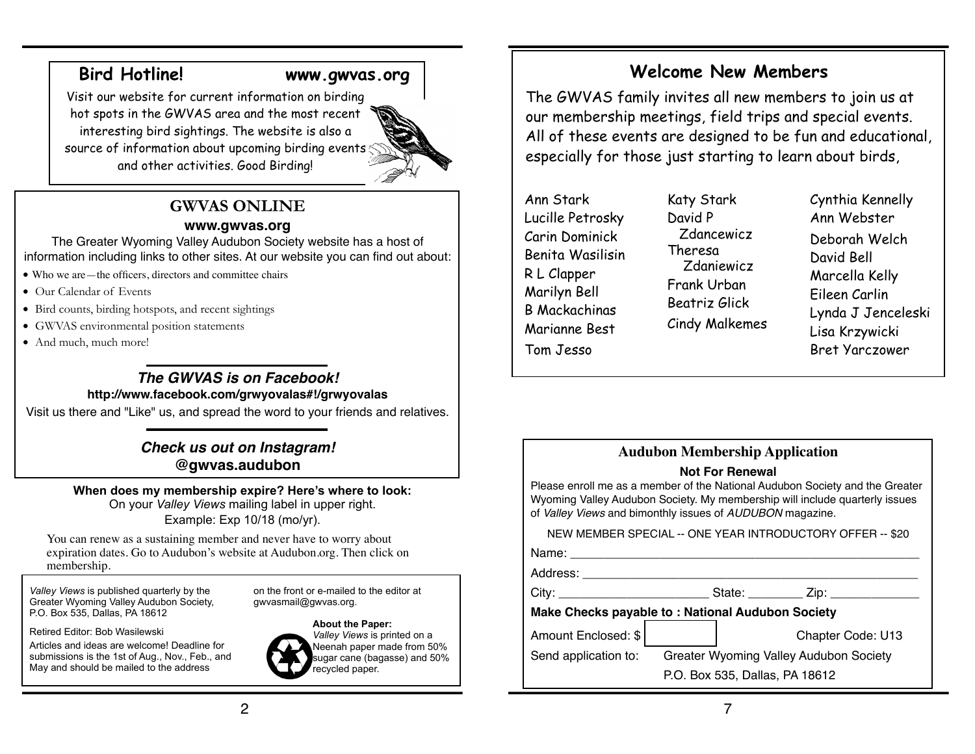## **Bird Hotline! [www.gwvas.org](http://www.gwvas.org)**

Visit our website for current information on birding hot spots in the GWVAS area and the most recent interesting bird sightings. The website is also a source of information about upcoming birding events and other activities. Good Birding!

# **GWVAS ONLINE**

### **[www.gwvas.org](http://www.gwvas.org)**

The Greater Wyoming Valley Audubon Society website has a host of information including links to other sites. At our website you can find out about:

- Who we are—the officers, directors and committee chairs
- Our Calendar of Events
- Bird counts, birding hotspots, and recent sightings
- GWVAS environmental position statements
- And much, much more!

# *The GWVAS is on Facebook!*

### **<http://www.facebook.com/grwyovalas#!/grwyovalas>**

Visit us there and "Like" us, and spread the word to your friends and relatives.

*Check us out on Instagram!* **@gwvas.audubon**

### **When does my membership expire? Here's where to look:**  On your *Valley Views* mailing label in upper right.

Example: Exp 10/18 (mo/yr).

You can renew as a sustaining member and never have to worry about expiration dates. Go to Audubon's website at Audubon.org. Then click on membership.

*Valley Views* is published quarterly by the Greater Wyoming Valley Audubon Society, P.O. Box 535, Dallas, PA 18612

Retired Editor: Bob Wasilewski

Articles and ideas are welcome! Deadline for submissions is the 1st of Aug., Nov., Feb., and May and should be mailed to the address

on the front or e-mailed to the editor at gwvasmail@gwvas.org.



*Valley Views* is printed on a Neenah paper made from 50% sugar cane (bagasse) and 50% recycled paper.

# **Welcome New Members**

The GWVAS family invites all new members to join us at our membership meetings, field trips and special events. All of these events are designed to be fun and educational, especially for those just starting to learn about birds,

Ann Stark Lucille Petrosky Carin Dominick Benita Wasilisin R L Clapper Marilyn Bell B Mackachinas Marianne Best Tom Jesso

Katy Stark David P Zdancewicz Theresa Zdaniewicz Frank Urban Beatriz Glick Cindy Malkemes

Cynthia Kennelly Ann Webster Deborah Welch David Bell Marcella Kelly Eileen Carlin Lynda J Jenceleski Lisa Krzywicki Bret Yarczower

# **Audubon Membership Application**

### **Not For Renewal**

Please enroll me as a member of the National Audubon Society and the Greater Wyoming Valley Audubon Society. My membership will include quarterly issues of *Valley Views* and bimonthly issues of *AUDUBON* magazine.

NEW MEMBER SPECIAL -- ONE YEAR INTRODUCTORY OFFER -- \$20

Name: \_\_\_\_\_\_\_\_\_\_\_\_\_\_\_\_\_\_\_\_\_\_\_\_\_\_\_\_\_\_\_\_\_\_\_\_\_\_\_\_\_\_\_\_\_\_\_\_\_\_\_

Address: \_\_\_\_\_\_\_\_\_\_\_\_\_\_\_\_\_\_\_\_\_\_\_\_\_\_\_\_\_\_\_\_\_\_\_\_\_\_\_\_\_\_\_\_\_\_\_\_\_

City: \_\_\_\_\_\_\_\_\_\_\_\_\_\_\_\_\_\_\_\_\_\_ State: \_\_\_\_\_\_\_\_ Zip: \_\_\_\_\_\_\_\_\_\_\_\_\_

### **Make Checks payable to : National Audubon Society**

Amount Enclosed: \$! ! ! ! Chapter Code: U13

Send application to: Greater Wyoming Valley Audubon Society

P.O. Box 535, Dallas, PA 18612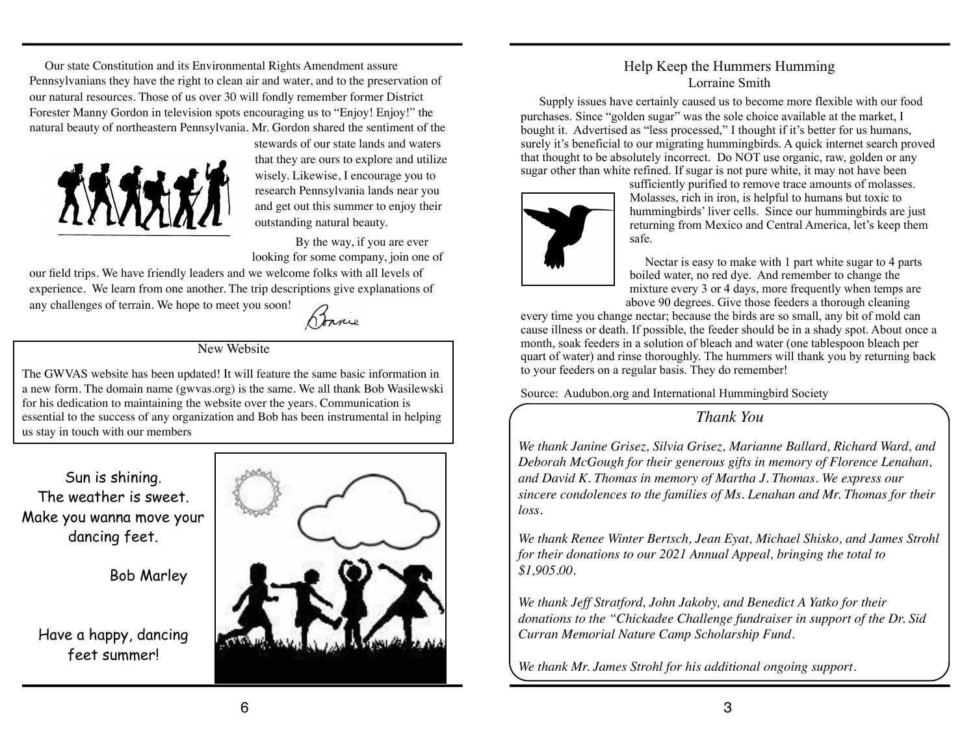Our state Constitution and its Environmental Rights Amendment assure Pennsylvanians they have the right to clean air and water, and to the preservation of our natural resources. Those of us over 30 will fondly remember former District Forester Manny Gordon in television spots encouraging us to "Enjoy! Enjoy!" the natural beauty of northeastern Pennsylvania. Mr. Gordon shared the sentiment of the



stewards of our state lands and waters that they are ours to explore and utilize wisely. Likewise, I encourage you to research Pennsylvania lands near you and get out this summer to enjoy their outstanding natural beauty.

By the way, if you are ever looking for some company, join one of

our field trips. We have friendly leaders and we welcome folks with all levels of experience. We learn from one another. The trip descriptions give explanations of any challenges of terrain. We hope to meet you soon!

Bonnie

#### New Website

The GWVAS website has been updated! It will feature the same basic information in a new form. The domain name (gwvas.org) is the same. We all thank Bob Wasilewski for his dedication to maintaining the website over the years. Communication is essential to the success of any organization and Bob has been instrumental in helping us stay in touch with our members

Sun is shining. The weather is sweet. Make you wanna move your dancing feet.

Bob Marley

Have a happy, dancing feet summer!



### Help Keep the Hummers Humming Lorraine Smith

 Supply issues have certainly caused us to become more flexible with our food purchases. Since "golden sugar" was the sole choice available at the market, I bought it. Advertised as "less processed," I thought if it's better for us humans, surely it's beneficial to our migrating hummingbirds. A quick internet search proved that thought to be absolutely incorrect. Do NOT use organic, raw, golden or any sugar other than white refined. If sugar is not pure white, it may not have been



sufficiently purified to remove trace amounts of molasses. Molasses, rich in iron, is helpful to humans but toxic to hummingbirds' liver cells. Since our hummingbirds are just returning from Mexico and Central America, let's keep them safe.

 Nectar is easy to make with 1 part white sugar to 4 parts boiled water, no red dye. And remember to change the mixture every 3 or 4 days, more frequently when temps are above 90 degrees. Give those feeders a thorough cleaning

every time you change nectar; because the birds are so small, any bit of mold can cause illness or death. If possible, the feeder should be in a shady spot. About once a month, soak feeders in a solution of bleach and water (one tablespoon bleach per quart of water) and rinse thoroughly. The hummers will thank you by returning back to your feeders on a regular basis. They do remember!

Source: Audubon.org and International Hummingbird Society

*Thank You*

*We thank Janine Grisez, Silvia Grisez, Marianne Ballard, Richard Ward, and Deborah McGough for their generous gifts in memory of Florence Lenahan, and David K. Thomas in memory of Martha J. Thomas. We express our sincere condolences to the families of Ms. Lenahan and Mr. Thomas for their loss.*

*We thank Renee Winter Bertsch, Jean Eyat, Michael Shisko, and James Strohl for their donations to our 2021 Annual Appeal, bringing the total to \$1,905.00.*

*We thank Jeff Stratford, John Jakoby, and Benedict A Yatko for their donations to the "Chickadee Challenge fundraiser in support of the Dr. Sid Curran Memorial Nature Camp Scholarship Fund.*

*We thank Mr. James Strohl for his additional ongoing support.*